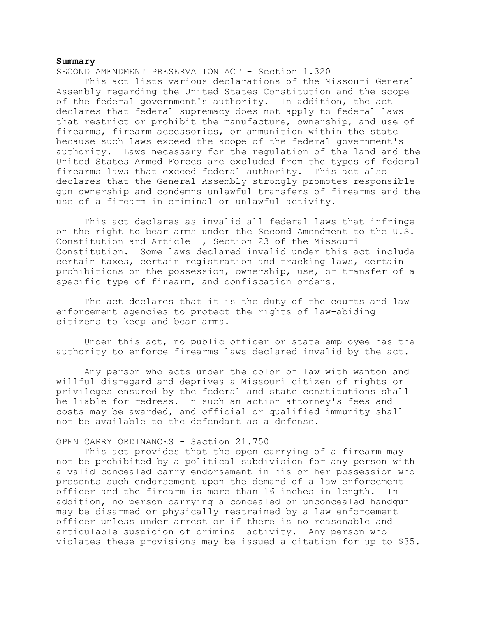## **Summary**

SECOND AMENDMENT PRESERVATION ACT - Section 1.320

This act lists various declarations of the Missouri General Assembly regarding the United States Constitution and the scope of the federal government's authority. In addition, the act declares that federal supremacy does not apply to federal laws that restrict or prohibit the manufacture, ownership, and use of firearms, firearm accessories, or ammunition within the state because such laws exceed the scope of the federal government's authority. Laws necessary for the regulation of the land and the United States Armed Forces are excluded from the types of federal firearms laws that exceed federal authority. This act also declares that the General Assembly strongly promotes responsible gun ownership and condemns unlawful transfers of firearms and the use of a firearm in criminal or unlawful activity.

This act declares as invalid all federal laws that infringe on the right to bear arms under the Second Amendment to the U.S. Constitution and Article I, Section 23 of the Missouri Constitution. Some laws declared invalid under this act include certain taxes, certain registration and tracking laws, certain prohibitions on the possession, ownership, use, or transfer of a specific type of firearm, and confiscation orders.

The act declares that it is the duty of the courts and law enforcement agencies to protect the rights of law-abiding citizens to keep and bear arms.

Under this act, no public officer or state employee has the authority to enforce firearms laws declared invalid by the act.

Any person who acts under the color of law with wanton and willful disregard and deprives a Missouri citizen of rights or privileges ensured by the federal and state constitutions shall be liable for redress. In such an action attorney's fees and costs may be awarded, and official or qualified immunity shall not be available to the defendant as a defense.

## OPEN CARRY ORDINANCES - Section 21.750

This act provides that the open carrying of a firearm may not be prohibited by a political subdivision for any person with a valid concealed carry endorsement in his or her possession who presents such endorsement upon the demand of a law enforcement officer and the firearm is more than 16 inches in length. In addition, no person carrying a concealed or unconcealed handgun may be disarmed or physically restrained by a law enforcement officer unless under arrest or if there is no reasonable and articulable suspicion of criminal activity. Any person who violates these provisions may be issued a citation for up to \$35.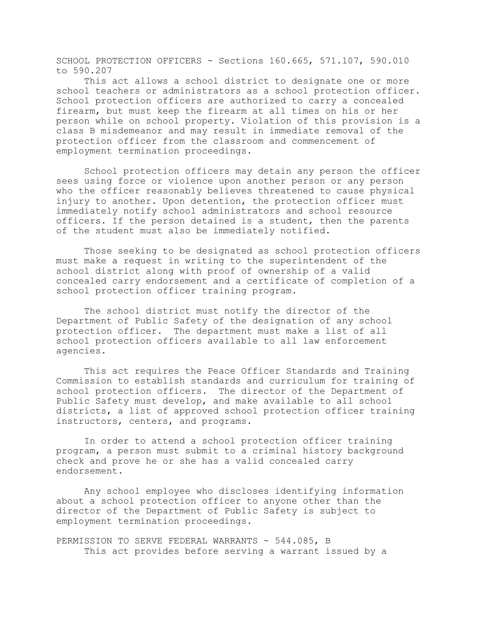SCHOOL PROTECTION OFFICERS - Sections 160.665, 571.107, 590.010 to 590.207

This act allows a school district to designate one or more school teachers or administrators as a school protection officer. School protection officers are authorized to carry a concealed firearm, but must keep the firearm at all times on his or her person while on school property. Violation of this provision is a class B misdemeanor and may result in immediate removal of the protection officer from the classroom and commencement of employment termination proceedings.

School protection officers may detain any person the officer sees using force or violence upon another person or any person who the officer reasonably believes threatened to cause physical injury to another. Upon detention, the protection officer must immediately notify school administrators and school resource officers. If the person detained is a student, then the parents of the student must also be immediately notified.

Those seeking to be designated as school protection officers must make a request in writing to the superintendent of the school district along with proof of ownership of a valid concealed carry endorsement and a certificate of completion of a school protection officer training program.

The school district must notify the director of the Department of Public Safety of the designation of any school protection officer. The department must make a list of all school protection officers available to all law enforcement agencies.

This act requires the Peace Officer Standards and Training Commission to establish standards and curriculum for training of school protection officers. The director of the Department of Public Safety must develop, and make available to all school districts, a list of approved school protection officer training instructors, centers, and programs.

In order to attend a school protection officer training program, a person must submit to a criminal history background check and prove he or she has a valid concealed carry endorsement.

Any school employee who discloses identifying information about a school protection officer to anyone other than the director of the Department of Public Safety is subject to employment termination proceedings.

PERMISSION TO SERVE FEDERAL WARRANTS - 544.085, B This act provides before serving a warrant issued by a